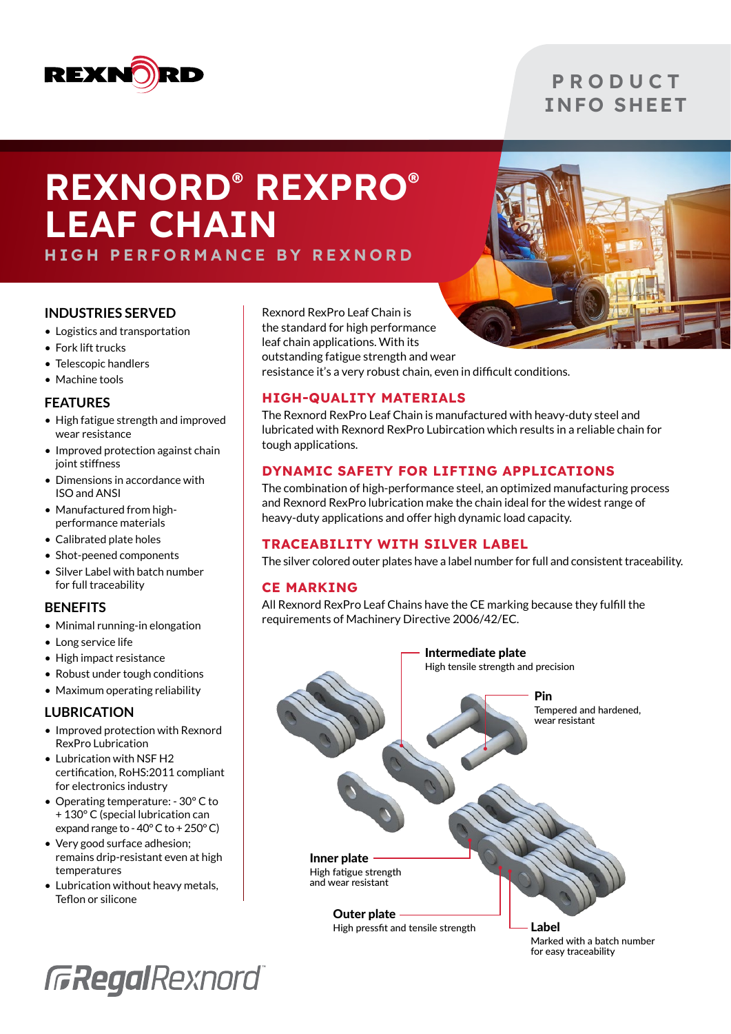

### **P R O D U C T** INFO SHEET

# REXNORD® REXPRO® LEAF CHAIN

HIGH PERFORMANCE BY REXNORD

#### **INDUSTRIES SERVED**

- Logistics and transportation
- Fork lift trucks
- Telescopic handlers
- Machine tools

#### **FEATURES**

- High fatigue strength and improved wear resistance
- Improved protection against chain joint stiffness
- Dimensions in accordance with ISO and ANSI
- Manufactured from highperformance materials
- Calibrated plate holes
- Shot-peened components
- Silver Label with batch number for full traceability

#### **BENEFITS**

- Minimal running-in elongation
- Long service life
- High impact resistance
- Robust under tough conditions
- Maximum operating reliability

#### **LUBRICATION**

- Improved protection with Rexnord RexPro Lubrication
- Lubrication with NSF H2 certification, RoHS:2011 compliant for electronics industry
- Operating temperature: 30° C to + 130° C (special lubrication can expand range to - 40° C to + 250° C)
- Very good surface adhesion; remains drip-resistant even at high temperatures
- Lubrication without heavy metals, Teflon or silicone

Rexnord RexPro Leaf Chain is the standard for high performance leaf chain applications. With its

outstanding fatigue strength and wear resistance it's a very robust chain, even in difficult conditions.

#### HIGH-QUALITY MATERIALS

The Rexnord RexPro Leaf Chain is manufactured with heavy-duty steel and lubricated with Rexnord RexPro Lubircation which results in a reliable chain for tough applications.

#### DYNAMIC SAFETY FOR LIFTING APPLICATIONS

The combination of high-performance steel, an optimized manufacturing process and Rexnord RexPro lubrication make the chain ideal for the widest range of heavy-duty applications and offer high dynamic load capacity.

#### TRACEABILITY WITH SILVER LABEL

The silver colored outer plates have a label number for full and consistent traceability.

#### CE MARKING

All Rexnord RexPro Leaf Chains have the CE marking because they fulfill the requirements of Machinery Directive 2006/42/EC.